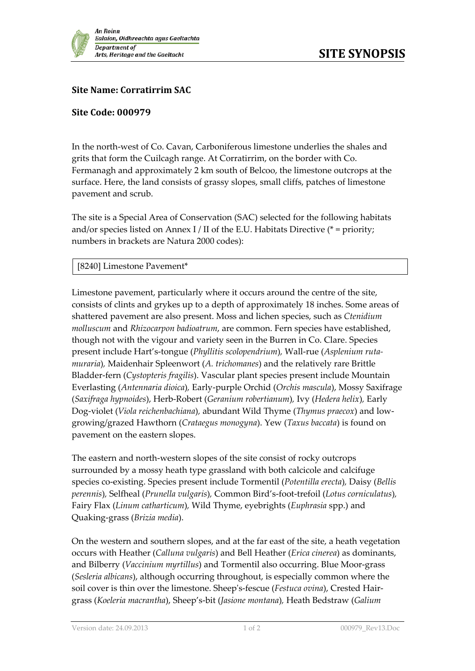

## **Site Name: Corratirrim SAC**

## **Site Code: 000979**

In the north-west of Co. Cavan, Carboniferous limestone underlies the shales and grits that form the Cuilcagh range. At Corratirrim, on the border with Co. Fermanagh and approximately 2 km south of Belcoo, the limestone outcrops at the surface. Here, the land consists of grassy slopes, small cliffs, patches of limestone pavement and scrub.

The site is a Special Area of Conservation (SAC) selected for the following habitats and/or species listed on Annex I / II of the E.U. Habitats Directive ( $*$  = priority; numbers in brackets are Natura 2000 codes):

## [8240] Limestone Pavement\*

Limestone pavement, particularly where it occurs around the centre of the site, consists of clints and grykes up to a depth of approximately 18 inches. Some areas of shattered pavement are also present. Moss and lichen species, such as *Ctenidium molluscum* and *Rhizocarpon badioatrum*, are common. Fern species have established, though not with the vigour and variety seen in the Burren in Co. Clare. Species present include Hart's-tongue (*Phyllitis scolopendrium*)*,* Wall-rue (*Asplenium rutamuraria*)*,* Maidenhair Spleenwort (*A. trichomanes*) and the relatively rare Brittle Bladder-fern (*Cystopteris fragilis*). Vascular plant species present include Mountain Everlasting (*Antennaria dioica*)*,* Early-purple Orchid (*Orchis mascula*), Mossy Saxifrage (*Saxifraga hypnoides*), Herb-Robert (*Geranium robertianum*)*,* Ivy (*Hedera helix*)*,* Early Dog-violet (*Viola reichenbachiana*)*,* abundant Wild Thyme (*Thymus praecox*) and lowgrowing/grazed Hawthorn (*Crataegus monogyna*). Yew (*Taxus baccata*) is found on pavement on the eastern slopes.

The eastern and north-western slopes of the site consist of rocky outcrops surrounded by a mossy heath type grassland with both calcicole and calcifuge species co-existing. Species present include Tormentil (*Potentilla erecta*)*,* Daisy (*Bellis perennis*)*,* Selfheal (*Prunella vulgaris*)*,* Common Bird's-foot-trefoil (*Lotus corniculatus*)*,*  Fairy Flax (*Linum catharticum*)*,* Wild Thyme, eyebrights (*Euphrasia* spp.) and Quaking-grass (*Brizia media*).

On the western and southern slopes, and at the far east of the site, a heath vegetation occurs with Heather (*Calluna vulgaris*) and Bell Heather (*Erica cinerea*) as dominants, and Bilberry (*Vaccinium myrtillus*) and Tormentil also occurring. Blue Moor-grass (*Sesleria albicans*), although occurring throughout, is especially common where the soil cover is thin over the limestone. Sheep's-fescue (*Festuca ovina*), Crested Hairgrass (*Koeleria macrantha*), Sheep's-bit (*Jasione montana*)*,* Heath Bedstraw (*Galium*